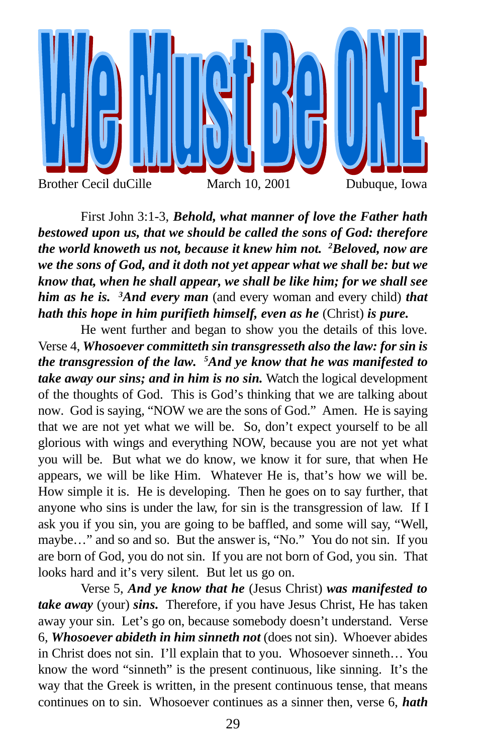

First John 3:1-3, *Behold, what manner of love the Father hath bestowed upon us, that we should be called the sons of God: therefore the world knoweth us not, because it knew him not. <sup>2</sup>Beloved, now are we the sons of God, and it doth not yet appear what we shall be: but we know that, when he shall appear, we shall be like him; for we shall see him as he is. <sup>3</sup>And every man* (and every woman and every child) *that hath this hope in him purifieth himself, even as he* (Christ) *is pure.*

He went further and began to show you the details of this love. Verse 4, *Whosoever committeth sin transgresseth also the law: for sin is the transgression of the law. <sup>5</sup>And ye know that he was manifested to take away our sins; and in him is no sin.* Watch the logical development of the thoughts of God. This is God's thinking that we are talking about now. God is saying, "NOW we are the sons of God." Amen. He is saying that we are not yet what we will be. So, don't expect yourself to be all glorious with wings and everything NOW, because you are not yet what you will be. But what we do know, we know it for sure, that when He appears, we will be like Him. Whatever He is, that's how we will be. How simple it is. He is developing. Then he goes on to say further, that anyone who sins is under the law, for sin is the transgression of law. If I ask you if you sin, you are going to be baffled, and some will say, "Well, maybe…" and so and so. But the answer is, "No." You do not sin. If you are born of God, you do not sin. If you are not born of God, you sin. That looks hard and it's very silent. But let us go on.

Verse 5, *And ye know that he* (Jesus Christ) *was manifested to take away* (your) *sins.* Therefore, if you have Jesus Christ, He has taken away your sin. Let's go on, because somebody doesn't understand. Verse 6, *Whosoever abideth in him sinneth not* (does not sin). Whoever abides in Christ does not sin. I'll explain that to you. Whosoever sinneth… You know the word "sinneth" is the present continuous, like sinning. It's the way that the Greek is written, in the present continuous tense, that means continues on to sin. Whosoever continues as a sinner then, verse 6, *hath*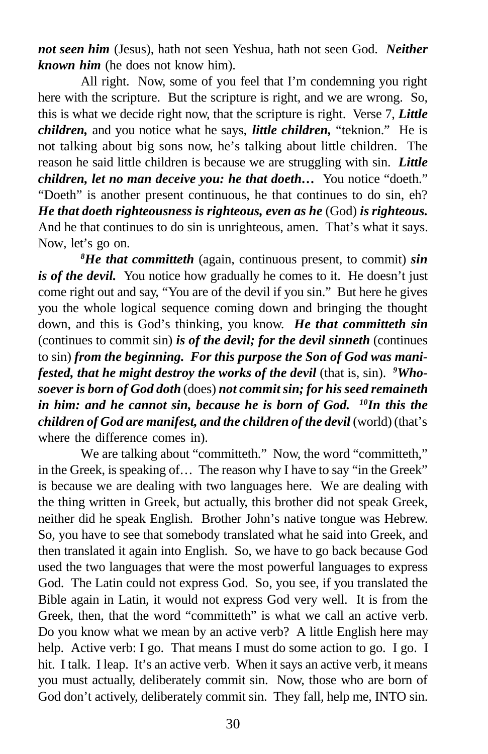*not seen him* (Jesus), hath not seen Yeshua, hath not seen God. *Neither known him* (he does not know him).

All right. Now, some of you feel that I'm condemning you right here with the scripture. But the scripture is right, and we are wrong. So, this is what we decide right now, that the scripture is right. Verse 7, *Little children,* and you notice what he says, *little children,* "teknion." He is not talking about big sons now, he's talking about little children. The reason he said little children is because we are struggling with sin. *Little children, let no man deceive you: he that doeth...* You notice "doeth." "Doeth" is another present continuous, he that continues to do sin, eh? *He that doeth righteousness is righteous, even as he* (God) *is righteous.* And he that continues to do sin is unrighteous, amen. That's what it says. Now, let's go on.

*<sup>8</sup>He that committeth* (again, continuous present, to commit) *sin is of the devil.* You notice how gradually he comes to it. He doesn't just come right out and say, "You are of the devil if you sin." But here he gives you the whole logical sequence coming down and bringing the thought down, and this is God's thinking, you know. *He that committeth sin* (continues to commit sin) *is of the devil; for the devil sinneth* (continues to sin) *from the beginning. For this purpose the Son of God was manifested, that he might destroy the works of the devil* (that is, sin)*. 9Whosoever is born of God doth* (does) *not commit sin; for his seed remaineth in him: and he cannot sin, because he is born of God. <sup>10</sup>In this the children of God are manifest, and the children of the devil* (world) (that's where the difference comes in).

We are talking about "committeth." Now, the word "committeth," in the Greek, is speaking of… The reason why I have to say "in the Greek" is because we are dealing with two languages here. We are dealing with the thing written in Greek, but actually, this brother did not speak Greek, neither did he speak English. Brother John's native tongue was Hebrew. So, you have to see that somebody translated what he said into Greek, and then translated it again into English. So, we have to go back because God used the two languages that were the most powerful languages to express God. The Latin could not express God. So, you see, if you translated the Bible again in Latin, it would not express God very well. It is from the Greek, then, that the word "committeth" is what we call an active verb. Do you know what we mean by an active verb? A little English here may help. Active verb: I go. That means I must do some action to go. I go. I hit. I talk. I leap. It's an active verb. When it says an active verb, it means you must actually, deliberately commit sin. Now, those who are born of God don't actively, deliberately commit sin. They fall, help me, INTO sin.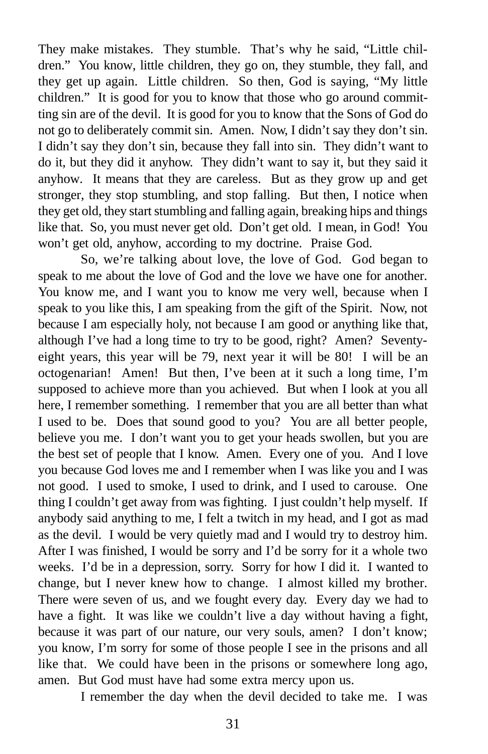They make mistakes. They stumble. That's why he said, "Little children." You know, little children, they go on, they stumble, they fall, and they get up again. Little children. So then, God is saying, "My little children." It is good for you to know that those who go around committing sin are of the devil. It is good for you to know that the Sons of God do not go to deliberately commit sin. Amen. Now, I didn't say they don't sin. I didn't say they don't sin, because they fall into sin. They didn't want to do it, but they did it anyhow. They didn't want to say it, but they said it anyhow. It means that they are careless. But as they grow up and get stronger, they stop stumbling, and stop falling. But then, I notice when they get old, they start stumbling and falling again, breaking hips and things like that. So, you must never get old. Don't get old. I mean, in God! You won't get old, anyhow, according to my doctrine. Praise God.

So, we're talking about love, the love of God. God began to speak to me about the love of God and the love we have one for another. You know me, and I want you to know me very well, because when I speak to you like this, I am speaking from the gift of the Spirit. Now, not because I am especially holy, not because I am good or anything like that, although I've had a long time to try to be good, right? Amen? Seventyeight years, this year will be 79, next year it will be 80! I will be an octogenarian! Amen! But then, I've been at it such a long time, I'm supposed to achieve more than you achieved. But when I look at you all here, I remember something. I remember that you are all better than what I used to be. Does that sound good to you? You are all better people, believe you me. I don't want you to get your heads swollen, but you are the best set of people that I know. Amen. Every one of you. And I love you because God loves me and I remember when I was like you and I was not good. I used to smoke, I used to drink, and I used to carouse. One thing I couldn't get away from was fighting. I just couldn't help myself. If anybody said anything to me, I felt a twitch in my head, and I got as mad as the devil. I would be very quietly mad and I would try to destroy him. After I was finished, I would be sorry and I'd be sorry for it a whole two weeks. I'd be in a depression, sorry. Sorry for how I did it. I wanted to change, but I never knew how to change. I almost killed my brother. There were seven of us, and we fought every day. Every day we had to have a fight. It was like we couldn't live a day without having a fight, because it was part of our nature, our very souls, amen? I don't know; you know, I'm sorry for some of those people I see in the prisons and all like that. We could have been in the prisons or somewhere long ago, amen. But God must have had some extra mercy upon us.

I remember the day when the devil decided to take me. I was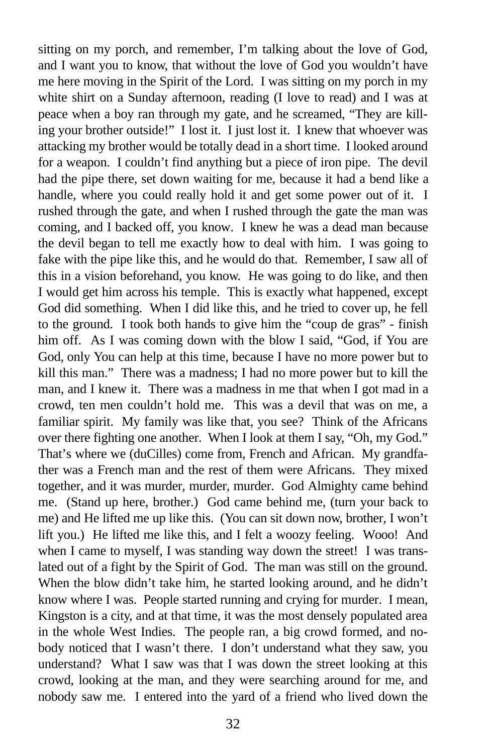sitting on my porch, and remember, I'm talking about the love of God, and I want you to know, that without the love of God you wouldn't have me here moving in the Spirit of the Lord. I was sitting on my porch in my white shirt on a Sunday afternoon, reading (I love to read) and I was at peace when a boy ran through my gate, and he screamed, "They are killing your brother outside!" I lost it. I just lost it. I knew that whoever was attacking my brother would be totally dead in a short time. I looked around for a weapon. I couldn't find anything but a piece of iron pipe. The devil had the pipe there, set down waiting for me, because it had a bend like a handle, where you could really hold it and get some power out of it. I rushed through the gate, and when I rushed through the gate the man was coming, and I backed off, you know. I knew he was a dead man because the devil began to tell me exactly how to deal with him. I was going to fake with the pipe like this, and he would do that. Remember, I saw all of this in a vision beforehand, you know. He was going to do like, and then I would get him across his temple. This is exactly what happened, except God did something. When I did like this, and he tried to cover up, he fell to the ground. I took both hands to give him the "coup de gras" - finish him off. As I was coming down with the blow I said, "God, if You are God, only You can help at this time, because I have no more power but to kill this man." There was a madness; I had no more power but to kill the man, and I knew it. There was a madness in me that when I got mad in a crowd, ten men couldn't hold me. This was a devil that was on me, a familiar spirit. My family was like that, you see? Think of the Africans over there fighting one another. When I look at them I say, "Oh, my God." That's where we (duCilles) come from, French and African. My grandfather was a French man and the rest of them were Africans. They mixed together, and it was murder, murder, murder. God Almighty came behind me. (Stand up here, brother.) God came behind me, (turn your back to me) and He lifted me up like this. (You can sit down now, brother, I won't lift you.) He lifted me like this, and I felt a woozy feeling. Wooo! And when I came to myself, I was standing way down the street! I was translated out of a fight by the Spirit of God. The man was still on the ground. When the blow didn't take him, he started looking around, and he didn't know where I was. People started running and crying for murder. I mean, Kingston is a city, and at that time, it was the most densely populated area in the whole West Indies. The people ran, a big crowd formed, and nobody noticed that I wasn't there. I don't understand what they saw, you understand? What I saw was that I was down the street looking at this crowd, looking at the man, and they were searching around for me, and nobody saw me. I entered into the yard of a friend who lived down the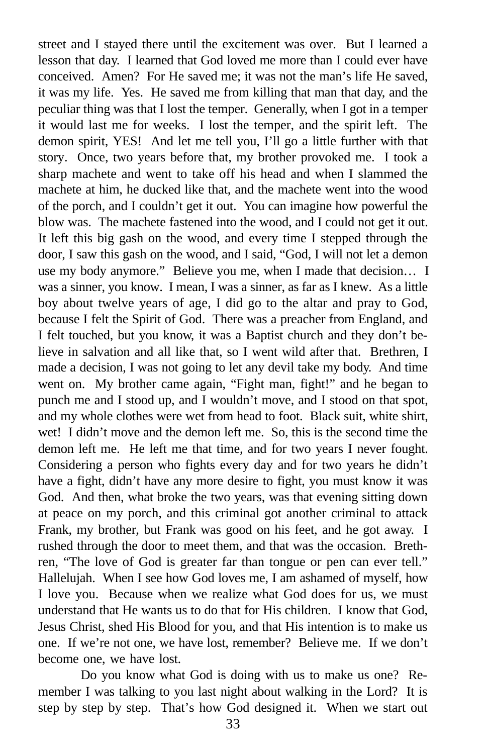street and I stayed there until the excitement was over. But I learned a lesson that day. I learned that God loved me more than I could ever have conceived. Amen? For He saved me; it was not the man's life He saved, it was my life. Yes. He saved me from killing that man that day, and the peculiar thing was that I lost the temper. Generally, when I got in a temper it would last me for weeks. I lost the temper, and the spirit left. The demon spirit, YES! And let me tell you, I'll go a little further with that story. Once, two years before that, my brother provoked me. I took a sharp machete and went to take off his head and when I slammed the machete at him, he ducked like that, and the machete went into the wood of the porch, and I couldn't get it out. You can imagine how powerful the blow was. The machete fastened into the wood, and I could not get it out. It left this big gash on the wood, and every time I stepped through the door, I saw this gash on the wood, and I said, "God, I will not let a demon use my body anymore." Believe you me, when I made that decision… I was a sinner, you know. I mean, I was a sinner, as far as I knew. As a little boy about twelve years of age, I did go to the altar and pray to God, because I felt the Spirit of God. There was a preacher from England, and I felt touched, but you know, it was a Baptist church and they don't believe in salvation and all like that, so I went wild after that. Brethren, I made a decision, I was not going to let any devil take my body. And time went on. My brother came again, "Fight man, fight!" and he began to punch me and I stood up, and I wouldn't move, and I stood on that spot, and my whole clothes were wet from head to foot. Black suit, white shirt, wet! I didn't move and the demon left me. So, this is the second time the demon left me. He left me that time, and for two years I never fought. Considering a person who fights every day and for two years he didn't have a fight, didn't have any more desire to fight, you must know it was God. And then, what broke the two years, was that evening sitting down at peace on my porch, and this criminal got another criminal to attack Frank, my brother, but Frank was good on his feet, and he got away. I rushed through the door to meet them, and that was the occasion. Brethren, "The love of God is greater far than tongue or pen can ever tell." Hallelujah. When I see how God loves me, I am ashamed of myself, how I love you. Because when we realize what God does for us, we must understand that He wants us to do that for His children. I know that God, Jesus Christ, shed His Blood for you, and that His intention is to make us one. If we're not one, we have lost, remember? Believe me. If we don't become one, we have lost.

Do you know what God is doing with us to make us one? Remember I was talking to you last night about walking in the Lord? It is step by step by step. That's how God designed it. When we start out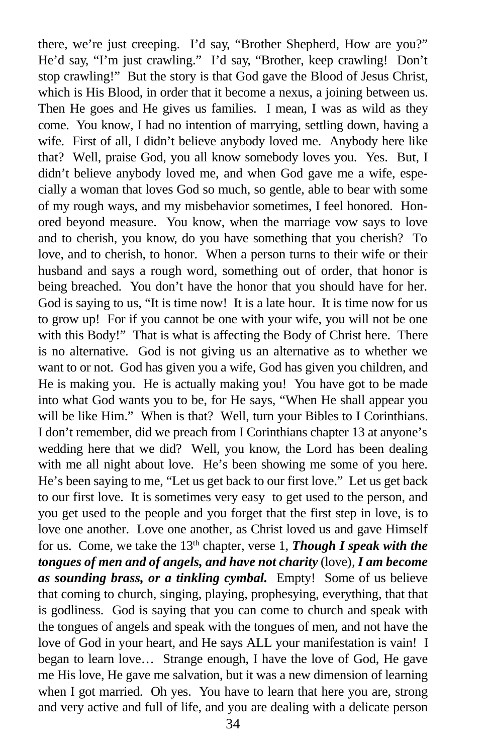there, we're just creeping. I'd say, "Brother Shepherd, How are you?" He'd say, "I'm just crawling." I'd say, "Brother, keep crawling! Don't stop crawling!" But the story is that God gave the Blood of Jesus Christ, which is His Blood, in order that it become a nexus, a joining between us. Then He goes and He gives us families. I mean, I was as wild as they come. You know, I had no intention of marrying, settling down, having a wife. First of all, I didn't believe anybody loved me. Anybody here like that? Well, praise God, you all know somebody loves you. Yes. But, I didn't believe anybody loved me, and when God gave me a wife, especially a woman that loves God so much, so gentle, able to bear with some of my rough ways, and my misbehavior sometimes, I feel honored. Honored beyond measure. You know, when the marriage vow says to love and to cherish, you know, do you have something that you cherish? To love, and to cherish, to honor. When a person turns to their wife or their husband and says a rough word, something out of order, that honor is being breached. You don't have the honor that you should have for her. God is saying to us, "It is time now! It is a late hour. It is time now for us to grow up! For if you cannot be one with your wife, you will not be one with this Body!" That is what is affecting the Body of Christ here. There is no alternative. God is not giving us an alternative as to whether we want to or not. God has given you a wife, God has given you children, and He is making you. He is actually making you! You have got to be made into what God wants you to be, for He says, "When He shall appear you will be like Him." When is that? Well, turn your Bibles to I Corinthians. I don't remember, did we preach from I Corinthians chapter 13 at anyone's wedding here that we did? Well, you know, the Lord has been dealing with me all night about love. He's been showing me some of you here. He's been saying to me, "Let us get back to our first love." Let us get back to our first love. It is sometimes very easy to get used to the person, and you get used to the people and you forget that the first step in love, is to love one another. Love one another, as Christ loved us and gave Himself for us. Come, we take the 13th chapter, verse 1, *Though I speak with the tongues of men and of angels, and have not charity* (love)*, I am become as sounding brass, or a tinkling cymbal.* Empty! Some of us believe that coming to church, singing, playing, prophesying, everything, that that is godliness. God is saying that you can come to church and speak with the tongues of angels and speak with the tongues of men, and not have the love of God in your heart, and He says ALL your manifestation is vain! I began to learn love… Strange enough, I have the love of God, He gave me His love, He gave me salvation, but it was a new dimension of learning when I got married. Oh yes. You have to learn that here you are, strong and very active and full of life, and you are dealing with a delicate person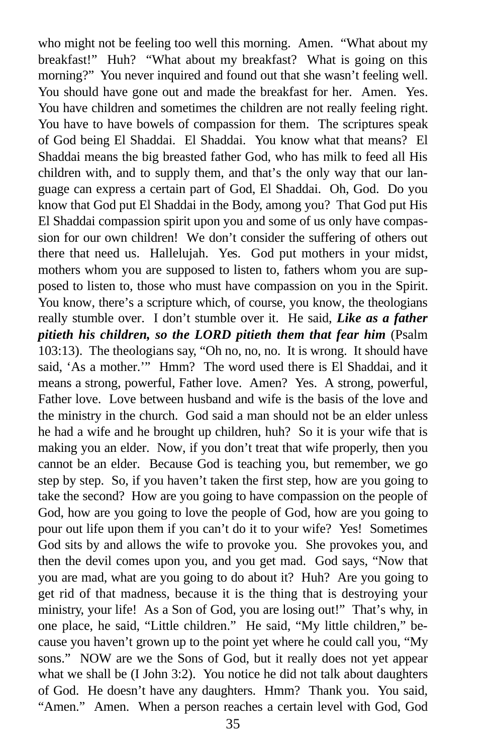who might not be feeling too well this morning. Amen. "What about my breakfast!" Huh? "What about my breakfast? What is going on this morning?" You never inquired and found out that she wasn't feeling well. You should have gone out and made the breakfast for her. Amen. Yes. You have children and sometimes the children are not really feeling right. You have to have bowels of compassion for them. The scriptures speak of God being El Shaddai. El Shaddai. You know what that means? El Shaddai means the big breasted father God, who has milk to feed all His children with, and to supply them, and that's the only way that our language can express a certain part of God, El Shaddai. Oh, God. Do you know that God put El Shaddai in the Body, among you? That God put His El Shaddai compassion spirit upon you and some of us only have compassion for our own children! We don't consider the suffering of others out there that need us. Hallelujah. Yes. God put mothers in your midst, mothers whom you are supposed to listen to, fathers whom you are supposed to listen to, those who must have compassion on you in the Spirit. You know, there's a scripture which, of course, you know, the theologians really stumble over. I don't stumble over it. He said, *Like as a father pitieth his children, so the LORD pitieth them that fear him* (Psalm 103:13). The theologians say, "Oh no, no, no. It is wrong. It should have said, 'As a mother.'" Hmm? The word used there is El Shaddai, and it means a strong, powerful, Father love. Amen? Yes. A strong, powerful, Father love. Love between husband and wife is the basis of the love and the ministry in the church. God said a man should not be an elder unless he had a wife and he brought up children, huh? So it is your wife that is making you an elder. Now, if you don't treat that wife properly, then you cannot be an elder. Because God is teaching you, but remember, we go step by step. So, if you haven't taken the first step, how are you going to take the second? How are you going to have compassion on the people of God, how are you going to love the people of God, how are you going to pour out life upon them if you can't do it to your wife? Yes! Sometimes God sits by and allows the wife to provoke you. She provokes you, and then the devil comes upon you, and you get mad. God says, "Now that you are mad, what are you going to do about it? Huh? Are you going to get rid of that madness, because it is the thing that is destroying your ministry, your life! As a Son of God, you are losing out!" That's why, in one place, he said, "Little children." He said, "My little children," because you haven't grown up to the point yet where he could call you, "My sons." NOW are we the Sons of God, but it really does not yet appear what we shall be (I John 3:2). You notice he did not talk about daughters of God. He doesn't have any daughters. Hmm? Thank you. You said, "Amen." Amen. When a person reaches a certain level with God, God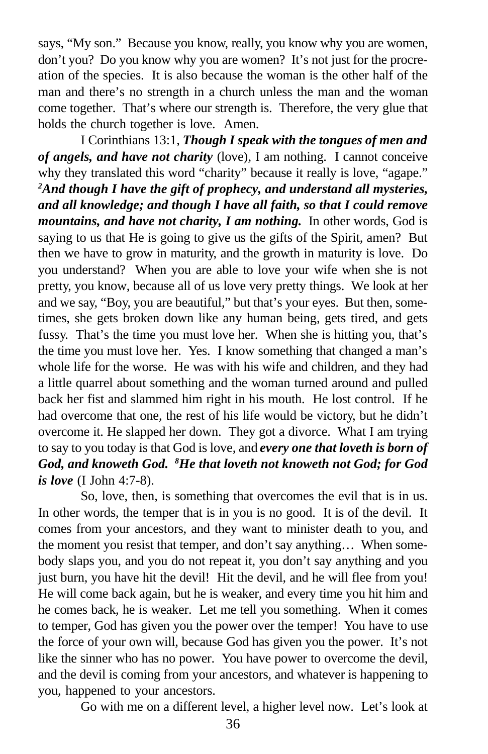says, "My son." Because you know, really, you know why you are women, don't you? Do you know why you are women? It's not just for the procreation of the species. It is also because the woman is the other half of the man and there's no strength in a church unless the man and the woman come together. That's where our strength is. Therefore, the very glue that holds the church together is love. Amen.

I Corinthians 13:1, *Though I speak with the tongues of men and of angels, and have not charity* (love)*,* I am nothing. I cannot conceive why they translated this word "charity" because it really is love, "agape." *<sup>2</sup>And though I have the gift of prophecy, and understand all mysteries, and all knowledge; and though I have all faith, so that I could remove mountains, and have not charity, I am nothing.* In other words, God is saying to us that He is going to give us the gifts of the Spirit, amen? But then we have to grow in maturity, and the growth in maturity is love. Do you understand? When you are able to love your wife when she is not pretty, you know, because all of us love very pretty things. We look at her and we say, "Boy, you are beautiful," but that's your eyes. But then, sometimes, she gets broken down like any human being, gets tired, and gets fussy. That's the time you must love her. When she is hitting you, that's the time you must love her. Yes. I know something that changed a man's whole life for the worse. He was with his wife and children, and they had a little quarrel about something and the woman turned around and pulled back her fist and slammed him right in his mouth. He lost control. If he had overcome that one, the rest of his life would be victory, but he didn't overcome it. He slapped her down. They got a divorce. What I am trying to say to you today is that God is love, and *every one that loveth is born of God, and knoweth God. <sup>8</sup>He that loveth not knoweth not God; for God is love* (I John 4:7-8).

So, love, then, is something that overcomes the evil that is in us. In other words, the temper that is in you is no good. It is of the devil. It comes from your ancestors, and they want to minister death to you, and the moment you resist that temper, and don't say anything… When somebody slaps you, and you do not repeat it, you don't say anything and you just burn, you have hit the devil! Hit the devil, and he will flee from you! He will come back again, but he is weaker, and every time you hit him and he comes back, he is weaker. Let me tell you something. When it comes to temper, God has given you the power over the temper! You have to use the force of your own will, because God has given you the power. It's not like the sinner who has no power. You have power to overcome the devil, and the devil is coming from your ancestors, and whatever is happening to you, happened to your ancestors.

Go with me on a different level, a higher level now. Let's look at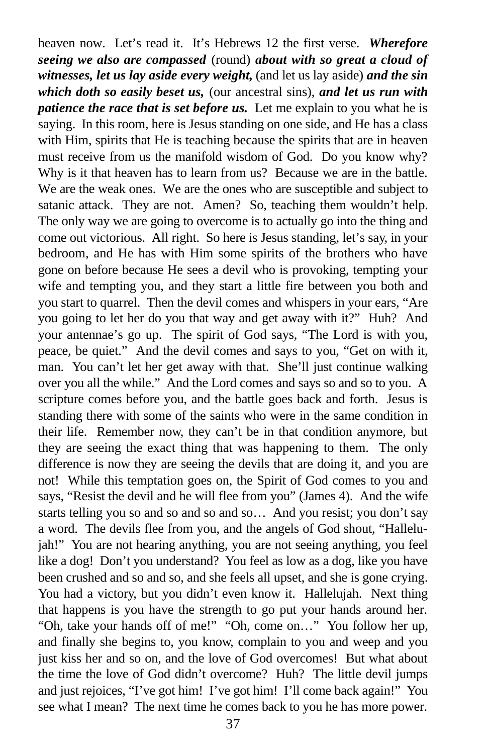heaven now. Let's read it. It's Hebrews 12 the first verse. *Wherefore seeing we also are compassed* (round) *about with so great a cloud of witnesses, let us lay aside every weight,* (and let us lay aside) *and the sin which doth so easily beset us,* (our ancestral sins), *and let us run with patience the race that is set before us.* Let me explain to you what he is saying. In this room, here is Jesus standing on one side, and He has a class with Him, spirits that He is teaching because the spirits that are in heaven must receive from us the manifold wisdom of God. Do you know why? Why is it that heaven has to learn from us? Because we are in the battle. We are the weak ones. We are the ones who are susceptible and subject to satanic attack. They are not. Amen? So, teaching them wouldn't help. The only way we are going to overcome is to actually go into the thing and come out victorious. All right. So here is Jesus standing, let's say, in your bedroom, and He has with Him some spirits of the brothers who have gone on before because He sees a devil who is provoking, tempting your wife and tempting you, and they start a little fire between you both and you start to quarrel. Then the devil comes and whispers in your ears, "Are you going to let her do you that way and get away with it?" Huh? And your antennae's go up. The spirit of God says, "The Lord is with you, peace, be quiet." And the devil comes and says to you, "Get on with it, man. You can't let her get away with that. She'll just continue walking over you all the while." And the Lord comes and says so and so to you. A scripture comes before you, and the battle goes back and forth. Jesus is standing there with some of the saints who were in the same condition in their life. Remember now, they can't be in that condition anymore, but they are seeing the exact thing that was happening to them. The only difference is now they are seeing the devils that are doing it, and you are not! While this temptation goes on, the Spirit of God comes to you and says, "Resist the devil and he will flee from you" (James 4). And the wife starts telling you so and so and so and so… And you resist; you don't say a word. The devils flee from you, and the angels of God shout, "Hallelujah!" You are not hearing anything, you are not seeing anything, you feel like a dog! Don't you understand? You feel as low as a dog, like you have been crushed and so and so, and she feels all upset, and she is gone crying. You had a victory, but you didn't even know it. Hallelujah. Next thing that happens is you have the strength to go put your hands around her. "Oh, take your hands off of me!" "Oh, come on…" You follow her up, and finally she begins to, you know, complain to you and weep and you just kiss her and so on, and the love of God overcomes! But what about the time the love of God didn't overcome? Huh? The little devil jumps and just rejoices, "I've got him! I've got him! I'll come back again!" You see what I mean? The next time he comes back to you he has more power.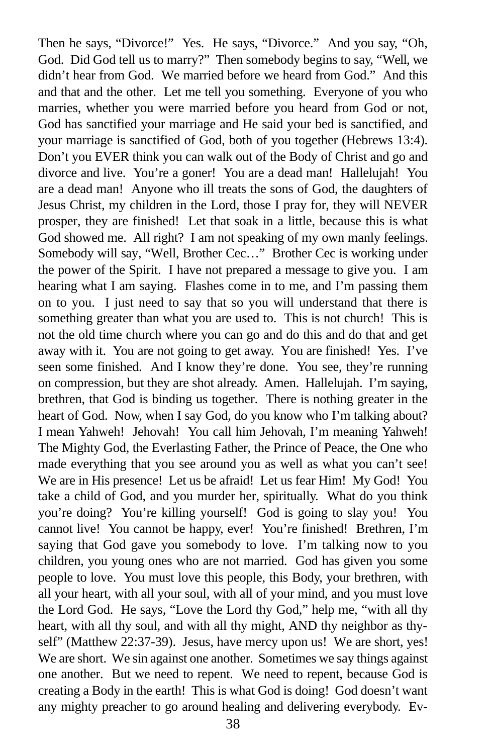Then he says, "Divorce!" Yes. He says, "Divorce." And you say, "Oh, God. Did God tell us to marry?" Then somebody begins to say, "Well, we didn't hear from God. We married before we heard from God." And this and that and the other. Let me tell you something. Everyone of you who marries, whether you were married before you heard from God or not, God has sanctified your marriage and He said your bed is sanctified, and your marriage is sanctified of God, both of you together (Hebrews 13:4). Don't you EVER think you can walk out of the Body of Christ and go and divorce and live. You're a goner! You are a dead man! Hallelujah! You are a dead man! Anyone who ill treats the sons of God, the daughters of Jesus Christ, my children in the Lord, those I pray for, they will NEVER prosper, they are finished! Let that soak in a little, because this is what God showed me. All right? I am not speaking of my own manly feelings. Somebody will say, "Well, Brother Cec…" Brother Cec is working under the power of the Spirit. I have not prepared a message to give you. I am hearing what I am saying. Flashes come in to me, and I'm passing them on to you. I just need to say that so you will understand that there is something greater than what you are used to. This is not church! This is not the old time church where you can go and do this and do that and get away with it. You are not going to get away. You are finished! Yes. I've seen some finished. And I know they're done. You see, they're running on compression, but they are shot already. Amen. Hallelujah. I'm saying, brethren, that God is binding us together. There is nothing greater in the heart of God. Now, when I say God, do you know who I'm talking about? I mean Yahweh! Jehovah! You call him Jehovah, I'm meaning Yahweh! The Mighty God, the Everlasting Father, the Prince of Peace, the One who made everything that you see around you as well as what you can't see! We are in His presence! Let us be afraid! Let us fear Him! My God! You take a child of God, and you murder her, spiritually. What do you think you're doing? You're killing yourself! God is going to slay you! You cannot live! You cannot be happy, ever! You're finished! Brethren, I'm saying that God gave you somebody to love. I'm talking now to you children, you young ones who are not married. God has given you some people to love. You must love this people, this Body, your brethren, with all your heart, with all your soul, with all of your mind, and you must love the Lord God. He says, "Love the Lord thy God," help me, "with all thy heart, with all thy soul, and with all thy might, AND thy neighbor as thyself" (Matthew 22:37-39). Jesus, have mercy upon us! We are short, yes! We are short. We sin against one another. Sometimes we say things against one another. But we need to repent. We need to repent, because God is creating a Body in the earth! This is what God is doing! God doesn't want any mighty preacher to go around healing and delivering everybody. Ev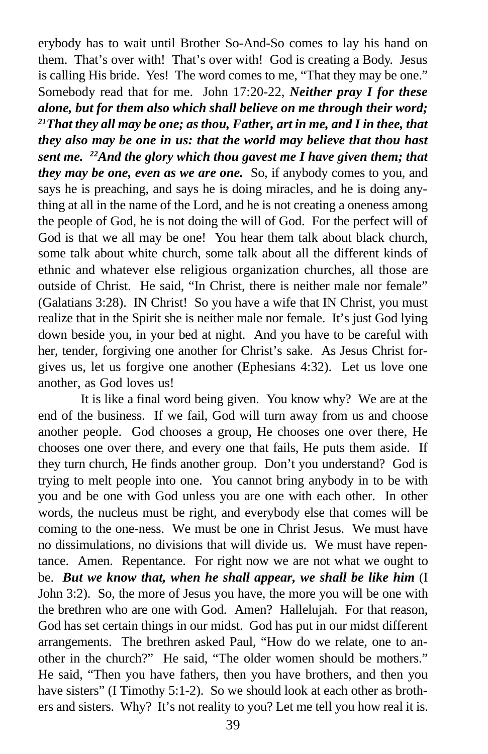erybody has to wait until Brother So-And-So comes to lay his hand on them. That's over with! That's over with! God is creating a Body. Jesus is calling His bride. Yes! The word comes to me, "That they may be one." Somebody read that for me. John 17:20-22, *Neither pray I for these alone, but for them also which shall believe on me through their word; <sup>21</sup>That they all may be one; as thou, Father, art in me, and I in thee, that they also may be one in us: that the world may believe that thou hast sent me. <sup>22</sup>And the glory which thou gavest me I have given them; that they may be one, even as we are one.* So, if anybody comes to you, and says he is preaching, and says he is doing miracles, and he is doing anything at all in the name of the Lord, and he is not creating a oneness among the people of God, he is not doing the will of God. For the perfect will of God is that we all may be one! You hear them talk about black church, some talk about white church, some talk about all the different kinds of ethnic and whatever else religious organization churches, all those are outside of Christ. He said, "In Christ, there is neither male nor female" (Galatians 3:28). IN Christ! So you have a wife that IN Christ, you must realize that in the Spirit she is neither male nor female. It's just God lying down beside you, in your bed at night. And you have to be careful with her, tender, forgiving one another for Christ's sake. As Jesus Christ forgives us, let us forgive one another (Ephesians 4:32). Let us love one another, as God loves us!

It is like a final word being given. You know why? We are at the end of the business. If we fail, God will turn away from us and choose another people. God chooses a group, He chooses one over there, He chooses one over there, and every one that fails, He puts them aside. If they turn church, He finds another group. Don't you understand? God is trying to melt people into one. You cannot bring anybody in to be with you and be one with God unless you are one with each other. In other words, the nucleus must be right, and everybody else that comes will be coming to the one-ness. We must be one in Christ Jesus. We must have no dissimulations, no divisions that will divide us. We must have repentance. Amen. Repentance. For right now we are not what we ought to be. *But we know that, when he shall appear, we shall be like him* (I John 3:2). So, the more of Jesus you have, the more you will be one with the brethren who are one with God. Amen? Hallelujah. For that reason, God has set certain things in our midst. God has put in our midst different arrangements. The brethren asked Paul, "How do we relate, one to another in the church?" He said, "The older women should be mothers." He said, "Then you have fathers, then you have brothers, and then you have sisters" (I Timothy 5:1-2). So we should look at each other as brothers and sisters. Why? It's not reality to you? Let me tell you how real it is.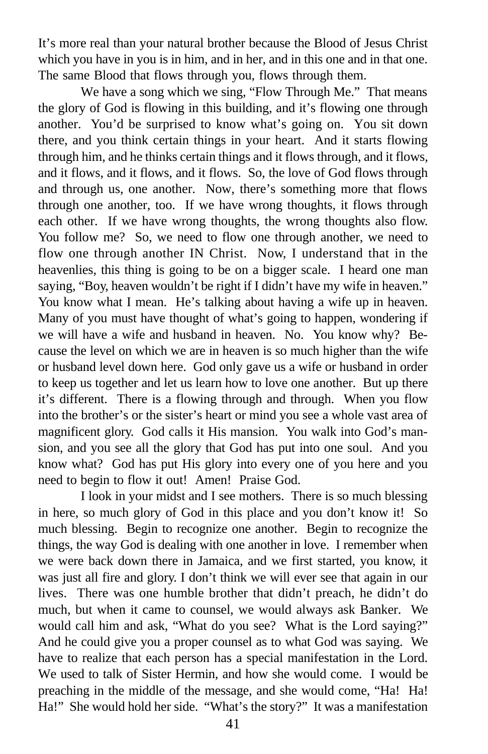It's more real than your natural brother because the Blood of Jesus Christ which you have in you is in him, and in her, and in this one and in that one. The same Blood that flows through you, flows through them.

We have a song which we sing, "Flow Through Me." That means the glory of God is flowing in this building, and it's flowing one through another. You'd be surprised to know what's going on. You sit down there, and you think certain things in your heart. And it starts flowing through him, and he thinks certain things and it flows through, and it flows, and it flows, and it flows, and it flows. So, the love of God flows through and through us, one another. Now, there's something more that flows through one another, too. If we have wrong thoughts, it flows through each other. If we have wrong thoughts, the wrong thoughts also flow. You follow me? So, we need to flow one through another, we need to flow one through another IN Christ. Now, I understand that in the heavenlies, this thing is going to be on a bigger scale. I heard one man saying, "Boy, heaven wouldn't be right if I didn't have my wife in heaven." You know what I mean. He's talking about having a wife up in heaven. Many of you must have thought of what's going to happen, wondering if we will have a wife and husband in heaven. No. You know why? Because the level on which we are in heaven is so much higher than the wife or husband level down here. God only gave us a wife or husband in order to keep us together and let us learn how to love one another. But up there it's different. There is a flowing through and through. When you flow into the brother's or the sister's heart or mind you see a whole vast area of magnificent glory. God calls it His mansion. You walk into God's mansion, and you see all the glory that God has put into one soul. And you know what? God has put His glory into every one of you here and you need to begin to flow it out! Amen! Praise God.

I look in your midst and I see mothers. There is so much blessing in here, so much glory of God in this place and you don't know it! So much blessing. Begin to recognize one another. Begin to recognize the things, the way God is dealing with one another in love. I remember when we were back down there in Jamaica, and we first started, you know, it was just all fire and glory. I don't think we will ever see that again in our lives. There was one humble brother that didn't preach, he didn't do much, but when it came to counsel, we would always ask Banker. We would call him and ask, "What do you see? What is the Lord saying?" And he could give you a proper counsel as to what God was saying. We have to realize that each person has a special manifestation in the Lord. We used to talk of Sister Hermin, and how she would come. I would be preaching in the middle of the message, and she would come, "Ha! Ha! Ha!" She would hold her side. "What's the story?" It was a manifestation